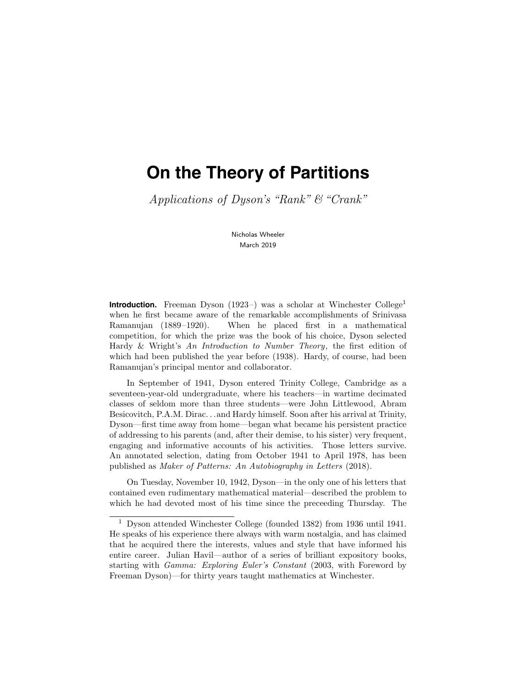# **On the Theory of Partitions**

Applications of Dyson's "Rank"  $\mathcal C$  "Crank"

Nicholas Wheeler March 2019

**Introduction.** Freeman Dyson  $(1923-)$  was a scholar at Winchester College<sup>1</sup> when he first became aware of the remarkable accomplishments of Srinivasa Ramanujan (1889–1920). When he placed first in a mathematical competition, for which the prize was the book of his choice, Dyson selected Hardy & Wright's An Introduction to Number Theory, the first edition of which had been published the year before (1938). Hardy, of course, had been Ramanujan's principal mentor and collaborator.

In September of 1941, Dyson entered Trinity College, Cambridge as a seventeen-year-old undergraduate, where his teachers—in wartime decimated classes of seldom more than three students—were John Littlewood, Abram Besicovitch, P.A.M. Dirac. . .and Hardy himself. Soon after his arrival at Trinity, Dyson—first time away from home—began what became his persistent practice of addressing to his parents (and, after their demise, to his sister) very frequent, engaging and informative accounts of his activities. Those letters survive. An annotated selection, dating from October 1941 to April 1978, has been published as Maker of Patterns: An Autobiography in Letters (2018).

On Tuesday, November 10, 1942, Dyson—in the only one of his letters that contained even rudimentary mathematical material—described the problem to which he had devoted most of his time since the preceeding Thursday. The

<sup>1</sup> Dyson attended Winchester College (founded 1382) from 1936 until 1941. He speaks of his experience there always with warm nostalgia, and has claimed that he acquired there the interests, values and style that have informed his entire career. Julian Havil—author of a series of brilliant expository books, starting with Gamma: Exploring Euler's Constant (2003, with Foreword by Freeman Dyson)—for thirty years taught mathematics at Winchester.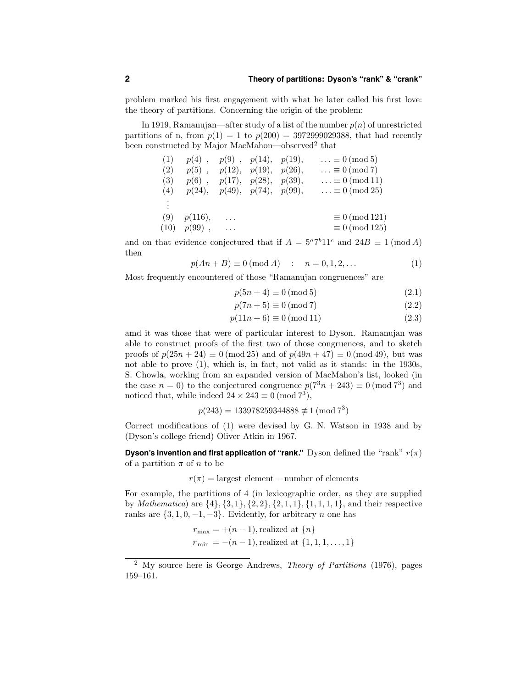problem marked his first engagement with what he later called his first love: the theory of partitions. Concerning the origin of the problem:

In 1919, Ramanujan—after study of a list of the number  $p(n)$  of unrestricted partitions of n, from  $p(1) = 1$  to  $p(200) = 3972999029388$ , that had recently been constructed by Major MacMahon—observed<sup>2</sup> that

| (1)      | $p(4)$ ,         | $p(9)$ , $p(14)$ , $p(19)$ ,           |                      | $\ldots \equiv 0 \pmod{5}$  |
|----------|------------------|----------------------------------------|----------------------|-----------------------------|
| (2)      | $p(5)$ ,         |                                        | p(12), p(19), p(26), | $\ldots \equiv 0 \pmod{7}$  |
| (3)      |                  | $p(6)$ , $p(17)$ , $p(28)$ , $p(39)$ , |                      | $\ldots \equiv 0 \pmod{11}$ |
| (4)      |                  | p(24), p(49), p(74), p(99),            |                      | $\ldots \equiv 0 \pmod{25}$ |
| $\vdots$ |                  |                                        |                      |                             |
|          |                  |                                        |                      |                             |
| (9)      | p(116),          | $\cdots$                               |                      | $\equiv 0 \pmod{121}$       |
|          | $(10)$ $p(99)$ , | $\ldots$                               |                      | $\equiv 0 \pmod{125}$       |
|          |                  |                                        |                      |                             |

and on that evidence conjectured that if  $A = 5^a 7^b 11^c$  and  $24B \equiv 1 \pmod{A}$ then

$$
p(An + B) \equiv 0 \pmod{A} : n = 0, 1, 2, ...
$$
 (1)

Most frequently encountered of those "Ramanujan congruences" are

$$
p(5n+4) \equiv 0 \text{ (mod 5)}\tag{2.1}
$$

$$
p(7n+5) \equiv 0 \text{ (mod 7)}\tag{2.2}
$$

$$
p(11n + 6) \equiv 0 \text{ (mod 11)}\tag{2.3}
$$

amd it was those that were of particular interest to Dyson. Ramanujan was able to construct proofs of the first two of those congruences, and to sketch proofs of  $p(25n + 24) \equiv 0 \pmod{25}$  and of  $p(49n + 47) \equiv 0 \pmod{49}$ , but was not able to prove (1), which is, in fact, not valid as it stands: in the 1930s, S. Chowla, working from an expanded version of MacMahon's list, looked (in the case  $n = 0$ ) to the conjectured congruence  $p(7^3n + 243) \equiv 0 \pmod{7^3}$  and noticed that, while indeed  $24 \times 243 \equiv 0 \pmod{7^3}$ ,

$$
p(243) = 133978259344888 \not\equiv 1 \pmod{7^3}
$$

Correct modifications of (1) were devised by G. N. Watson in 1938 and by (Dyson's college friend) Oliver Atkin in 1967.

**Dyson's invention and first application of "rank."** Dyson defined the "rank"  $r(\pi)$ of a partition  $\pi$  of n to be

 $r(\pi) =$  largest element – number of elements

For example, the partitions of 4 (in lexicographic order, as they are supplied by *Mathematica*) are  $\{4\}, \{3, 1\}, \{2, 2\}, \{2, 1, 1\}, \{1, 1, 1, 1\},$  and their respective ranks are  $\{3, 1, 0, -1, -3\}$ . Evidently, for arbitrary *n* one has

$$
r_{\text{max}} = +(n-1), \text{realized at } \{n\}
$$
  

$$
r_{\text{min}} = -(n-1), \text{realized at } \{1, 1, 1, ..., 1\}
$$

<sup>&</sup>lt;sup>2</sup> My source here is George Andrews, *Theory of Partitions* (1976), pages 159–161.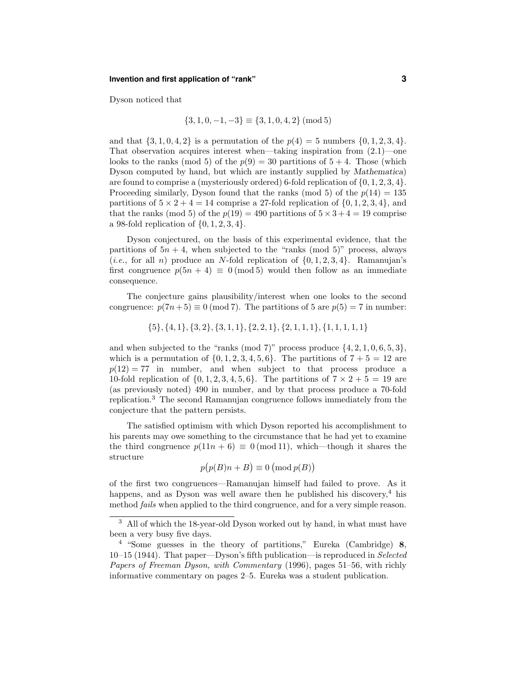#### **Invention and first application of "rank" 3**

Dyson noticed that

$$
\{3, 1, 0, -1, -3\} \equiv \{3, 1, 0, 4, 2\} \pmod{5}
$$

and that  $\{3, 1, 0, 4, 2\}$  is a permutation of the  $p(4) = 5$  numbers  $\{0, 1, 2, 3, 4\}.$ That observation acquires interest when—taking inspiration from  $(2.1)$ —one looks to the ranks (mod 5) of the  $p(9) = 30$  partitions of  $5 + 4$ . Those (which Dyson computed by hand, but which are instantly supplied by Mathematica) are found to comprise a (mysteriously ordered) 6-fold replication of  $\{0, 1, 2, 3, 4\}.$ Proceeding similarly, Dyson found that the ranks (mod 5) of the  $p(14) = 135$ partitions of  $5 \times 2 + 4 = 14$  comprise a 27-fold replication of  $\{0, 1, 2, 3, 4\}$ , and that the ranks (mod 5) of the  $p(19) = 490$  partitions of  $5 \times 3 + 4 = 19$  comprise a 98-fold replication of  $\{0, 1, 2, 3, 4\}.$ 

Dyson conjectured, on the basis of this experimental evidence, that the partitions of  $5n + 4$ , when subjected to the "ranks (mod 5)" process, always (*i.e.*, for all *n*) produce an *N*-fold replication of  $\{0, 1, 2, 3, 4\}$ . Ramanujan's first congruence  $p(5n + 4) \equiv 0 \pmod{5}$  would then follow as an immediate consequence.

The conjecture gains plausibility/interest when one looks to the second congruence:  $p(7n+5) \equiv 0 \pmod{7}$ . The partitions of 5 are  $p(5) = 7$  in number:

$$
{\{5\},\{4,1\},\{3,2\},\{3,1,1\},\{2,2,1\},\{2,1,1,1\},\{1,1,1,1,1\}}
$$

and when subjected to the "ranks (mod 7)" process produce  $\{4, 2, 1, 0, 6, 5, 3\}$ , which is a permutation of  $\{0, 1, 2, 3, 4, 5, 6\}$ . The partitions of  $7 + 5 = 12$  are  $p(12) = 77$  in number, and when subject to that process produce a 10-fold replication of  $\{0, 1, 2, 3, 4, 5, 6\}$ . The partitions of  $7 \times 2 + 5 = 19$  are (as previously noted) 490 in number, and by that process produce a 70-fold replication.<sup>3</sup> The second Ramanujan congruence follows immediately from the conjecture that the pattern persists.

The satisfied optimism with which Dyson reported his accomplishment to his parents may owe something to the circumstance that he had yet to examine the third congruence  $p(11n + 6) \equiv 0 \pmod{11}$ , which—though it shares the structure

$$
p(p(B)n + B) \equiv 0 \pmod{p(B)}
$$

of the first two congruences—Ramanujan himself had failed to prove. As it happens, and as Dyson was well aware then he published his discovery,<sup>4</sup> his method *fails* when applied to the third congruence, and for a very simple reason.

<sup>&</sup>lt;sup>3</sup> All of which the 18-year-old Dyson worked out by hand, in what must have been a very busy five days.

<sup>4</sup> "Some guesses in the theory of partitions," Eureka (Cambridge) 8,  $10-15$  (1944). That paper—Dyson's fifth publication—is reproduced in Selected Papers of Freeman Dyson, with Commentary (1996), pages 51–56, with richly informative commentary on pages 2–5. Eureka was a student publication.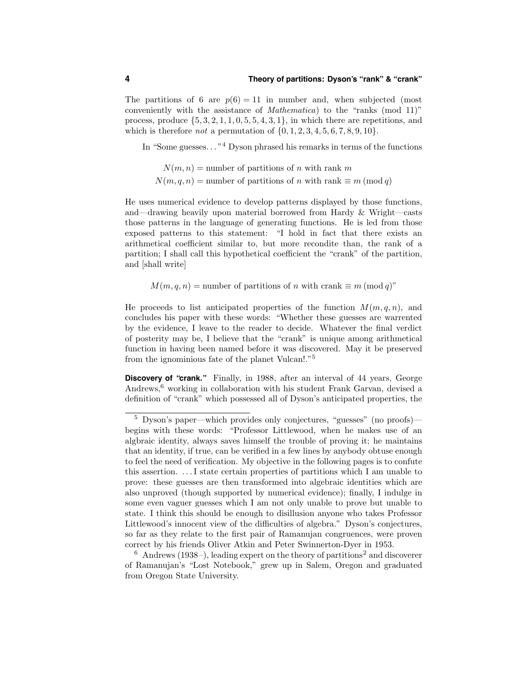The partitions of 6 are  $p(6) = 11$  in number and, when subjected (most conveniently with the assistance of Mathematica) to the "ranks (mod 11)" process, produce  $\{5, 3, 2, 1, 1, 0, 5, 5, 4, 3, 1\}$ , in which there are repetitions, and which is therefore *not* a permutation of  $\{0, 1, 2, 3, 4, 5, 6, 7, 8, 9, 10\}.$ 

In "Some guesses. . . "<sup>4</sup> Dyson phrased his remarks in terms of the functions

 $N(m, n)$  = number of partitions of n with rank m  $N(m, q, n) =$  number of partitions of n with rank  $\equiv m \pmod{q}$ 

He uses numerical evidence to develop patterns displayed by those functions, and—drawing heavily upon material borrowed from Hardy & Wright—casts those patterns in the language of generating functions. He is led from those exposed patterns to this statement: "I hold in fact that there exists an arithmetical coefficient similar to, but more recondite than, the rank of a partition; I shall call this hypothetical coefficient the "crank" of the partition, and [shall write]

 $M(m, q, n) =$  number of partitions of n with crank  $\equiv m \pmod{q}$ "

He proceeds to list anticipated properties of the function  $M(m, q, n)$ , and concludes his paper with these words: "Whether these guesses are warrented by the evidence, I leave to the reader to decide. Whatever the final verdict of posterity may be, I believe that the "crank" is unique among arithmetical function in having been named before it was discovered. May it be preserved from the ignominious fate of the planet Vulcan!."<sup>5</sup>

**Discovery of "crank."** Finally, in 1988, after an interval of 44 years, George Andrews, $6$  working in collaboration with his student Frank Garvan, devised a definition of "crank" which possessed all of Dyson's anticipated properties, the

 $6$  Andrews (1938–), leading expert on the theory of partitions<sup>2</sup> and discoverer of Ramanujan's "Lost Notebook," grew up in Salem, Oregon and graduated from Oregon State University.

<sup>5</sup> Dyson's paper—which provides only conjectures, "guesses" (no proofs) begins with these words: "Professor Littlewood, when he makes use of an algbraic identity, always saves himself the trouble of proving it; he maintains that an identity, if true, can be verified in a few lines by anybody obtuse enough to feel the need of verification. My objective in the following pages is to confute this assertion. . . .I state certain properties of partitions which I am unable to prove: these guesses are then transformed into algebraic identities which are also unproved (though supported by numerical evidence); finally, I indulge in some even vaguer guesses which I am not only unable to prove but unable to state. I think this should be enough to disillusion anyone who takes Professor Littlewood's innocent view of the difficulties of algebra." Dyson's conjectures, so far as they relate to the first pair of Ramanujan congruences, were proven correct by his friends Oliver Atkin and Peter Swinnerton-Dyer in 1953.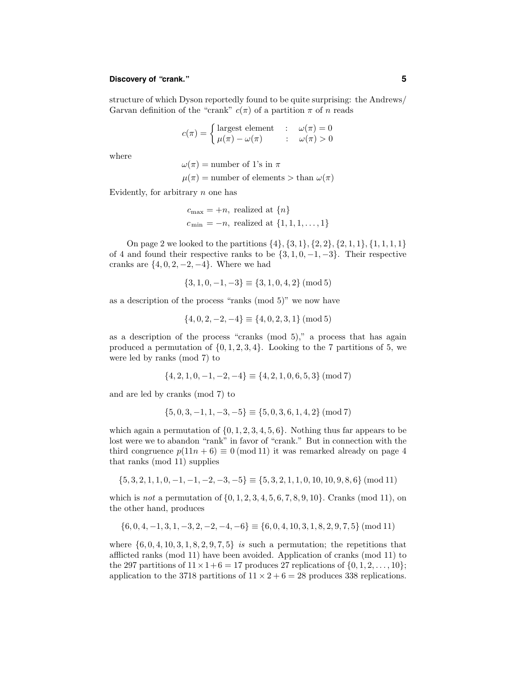# **Discovery of "crank." 5**

structure of which Dyson reportedly found to be quite surprising: the Andrews/ Garvan definition of the "crank"  $c(\pi)$  of a partition  $\pi$  of n reads

$$
c(\pi) = \begin{cases} \text{largest element} & : \omega(\pi) = 0\\ \mu(\pi) - \omega(\pi) & : \omega(\pi) > 0 \end{cases}
$$

where

 $\omega(\pi)$  = number of 1's in  $\pi$ 

 $\mu(\pi)$  = number of elements > than  $\omega(\pi)$ 

Evidently, for arbitrary  $n$  one has

 $c_{\text{max}} = +n$ , realized at  $\{n\}$  $c_{\min} = -n$ , realized at  $\{1, 1, 1, ..., 1\}$ 

On page 2 we looked to the partitions  $\{4\}, \{3, 1\}, \{2, 2\}, \{2, 1, 1\}, \{1, 1, 1, 1\}$ of 4 and found their respective ranks to be  $\{3, 1, 0, -1, -3\}$ . Their respective cranks are  $\{4, 0, 2, -2, -4\}$ . Where we had

$$
\{3, 1, 0, -1, -3\} \equiv \{3, 1, 0, 4, 2\} \pmod{5}
$$

as a description of the process "ranks (mod 5)" we now have

$$
\{4, 0, 2, -2, -4\} \equiv \{4, 0, 2, 3, 1\} \pmod{5}
$$

as a description of the process "cranks (mod 5)," a process that has again produced a permutation of  $\{0, 1, 2, 3, 4\}$ . Looking to the 7 partitions of 5, we were led by ranks (mod 7) to

$$
\{4, 2, 1, 0, -1, -2, -4\} \equiv \{4, 2, 1, 0, 6, 5, 3\} \pmod{7}
$$

and are led by cranks (mod 7) to

$$
\{5, 0, 3, -1, 1, -3, -5\} \equiv \{5, 0, 3, 6, 1, 4, 2\} \pmod{7}
$$

which again a permutation of  $\{0, 1, 2, 3, 4, 5, 6\}$ . Nothing thus far appears to be lost were we to abandon "rank" in favor of "crank." But in connection with the third congruence  $p(11n + 6) \equiv 0 \pmod{11}$  it was remarked already on page 4 that ranks (mod 11) supplies

$$
\{5, 3, 2, 1, 1, 0, -1, -1, -2, -3, -5\} \equiv \{5, 3, 2, 1, 1, 0, 10, 10, 9, 8, 6\} \pmod{11}
$$

which is *not* a permutation of  $\{0, 1, 2, 3, 4, 5, 6, 7, 8, 9, 10\}$ . Cranks (mod 11), on the other hand, produces

$$
\{6, 0, 4, -1, 3, 1, -3, 2, -2, -4, -6\} \equiv \{6, 0, 4, 10, 3, 1, 8, 2, 9, 7, 5\} \pmod{11}
$$

where  $\{6, 0, 4, 10, 3, 1, 8, 2, 9, 7, 5\}$  is such a permutation; the repetitions that afflicted ranks (mod 11) have been avoided. Application of cranks (mod 11) to the 297 partitions of  $11 \times 1 + 6 = 17$  produces 27 replications of  $\{0, 1, 2, \ldots, 10\}$ ; application to the 3718 partitions of  $11 \times 2 + 6 = 28$  produces 338 replications.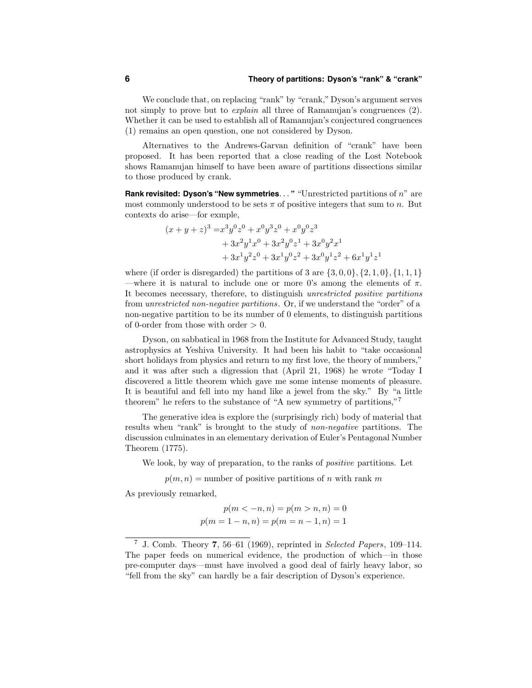# **6 Theory of partitions: Dyson's "rank" & "crank"**

We conclude that, on replacing "rank" by "crank," Dyson's argument serves not simply to prove but to *explain* all three of Ramanujan's congruences (2). Whether it can be used to establish all of Ramanujan's conjectured congruences (1) remains an open question, one not considered by Dyson.

Alternatives to the Andrews-Garvan definition of "crank" have been proposed. It has been reported that a close reading of the Lost Notebook shows Ramanujan himself to have been aware of partitions dissections similar to those produced by crank.

**Rank revisited: Dyson's "New symmetries**. . . **"** "Unrestricted partitions of n" are most commonly understood to be sets  $\pi$  of positive integers that sum to n. But contexts do arise—for exmple,

$$
(x + y + z)^3 = x^3y^0z^0 + x^0y^3z^0 + x^0y^0z^3
$$
  
+  $3x^2y^1x^0 + 3x^2y^0z^1 + 3x^0y^2x^1$   
+  $3x^1y^2z^0 + 3x^1y^0z^2 + 3x^0y^1z^2 + 6x^1y^1z^1$ 

where (if order is disregarded) the partitions of 3 are  $\{3, 0, 0\}, \{2, 1, 0\}, \{1, 1, 1\}$ —where it is natural to include one or more 0's among the elements of  $\pi$ . It becomes necessary, therefore, to distinguish unrestricted positive partitions from unrestricted non-negative partitions. Or, if we understand the "order" of a non-negative partition to be its number of 0 elements, to distinguish partitions of 0-order from those with order  $> 0$ .

Dyson, on sabbatical in 1968 from the Institute for Advanced Study, taught astrophysics at Yeshiva University. It had been his habit to "take occasional short holidays from physics and return to my first love, the theory of numbers," and it was after such a digression that (April 21, 1968) he wrote "Today I discovered a little theorem which gave me some intense moments of pleasure. It is beautiful and fell into my hand like a jewel from the sky." By "a little theorem" he refers to the substance of "A new symmetry of partitions,"<sup>7</sup>

The generative idea is explore the (surprisingly rich) body of material that results when "rank" is brought to the study of non-negative partitions. The discussion culminates in an elementary derivation of Euler's Pentagonal Number Theorem (1775).

We look, by way of preparation, to the ranks of *positive* partitions. Let

 $p(m, n)$  = number of positive partitions of n with rank m

As previously remarked,

$$
p(m < -n, n) = p(m > n, n) = 0
$$
  

$$
p(m = 1 - n, n) = p(m = n - 1, n) = 1
$$

<sup>7</sup> J. Comb. Theory 7, 56–61 (1969), reprinted in Selected Papers, 109–114. The paper feeds on numerical evidence, the production of which—in those pre-computer days—must have involved a good deal of fairly heavy labor, so "fell from the sky" can hardly be a fair description of Dyson's experience.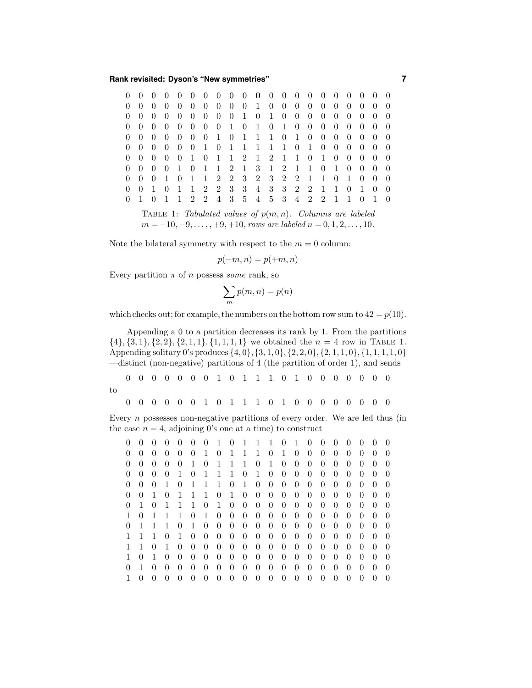**Rank revisited: Dyson's "New symmetries" 7**

| $\left( \right)$ |                |          |                |  |  |  | 0 0 0 0 0 0 0 0 0 0 0 0 0 0 0 0 0     |  |  |                   |                                     |          |                                       |  |
|------------------|----------------|----------|----------------|--|--|--|---------------------------------------|--|--|-------------------|-------------------------------------|----------|---------------------------------------|--|
| $\theta$         |                |          |                |  |  |  | 0 0 0 0 0 0 0 0 0 1 0 0 0 0 0 0       |  |  |                   | $0\quad 0$                          |          | $\overline{0}$                        |  |
| $\theta$         | $\overline{0}$ | $\theta$ | $\overline{0}$ |  |  |  | 0 0 0 0 0 1 0 1 0 0                   |  |  | $0\quad 0\quad 0$ | $\theta$                            | $\theta$ |                                       |  |
|                  |                |          |                |  |  |  | 0 0 0 0 0 0 0 0 1 0 1 0 1 0 0 0 0 0 0 |  |  |                   |                                     |          | $0\quad 0$                            |  |
|                  |                |          |                |  |  |  | 0 0 0 0 0 0 0 1 0 1 1 1 0 1 0 0 0 0 0 |  |  |                   |                                     |          | $0 \quad 0$                           |  |
| $\left( \right)$ |                |          |                |  |  |  | 0 0 0 0 0 1 0 1 1 1 1 1 0 1 0 0       |  |  |                   | $\begin{matrix} 0 & 0 \end{matrix}$ |          | $0 \quad 0$                           |  |
|                  |                |          |                |  |  |  | 0 0 0 0 0 1 0 1 1 2 1 2 1 1 0 1 0 0 0 |  |  |                   |                                     |          | $0\quad 0$                            |  |
| $\left( \right)$ |                |          |                |  |  |  | 0 0 0 1 0 1 1 2 1 3 1 2 1 1 0 1 0     |  |  |                   |                                     | $\theta$ |                                       |  |
| $\left( \right)$ |                |          |                |  |  |  | 0 0 1 0 1 1 2 2 3 2 3 2 2 1 1 0 1 0   |  |  |                   |                                     |          | $\begin{pmatrix} 0 & 0 \end{pmatrix}$ |  |
| $\Omega$         |                |          |                |  |  |  | 0 1 0 1 1 2 2 3 3 4 3 3 2 2 1 1 0 1   |  |  |                   |                                     |          | $\overline{0}$                        |  |
|                  |                |          |                |  |  |  | 1 2 2 4 3 5 4 5 3 4 2 2 1             |  |  |                   |                                     |          |                                       |  |

TABLE 1: Tabulated values of  $p(m, n)$ . Columns are labeled  $m = -10, -9, \ldots, +9, +10$ , rows are labeled  $n = 0, 1, 2, \ldots, 10$ .

Note the bilateral symmetry with respect to the  $m = 0$  column:

 $p(-m, n) = p(+m, n)$ 

Every partition  $\pi$  of n possess *some* rank, so

$$
\sum_m p(m,n) = p(n)
$$

which checks out; for example, the numbers on the bottom row sum to  $42 = p(10)$ .

Appending a 0 to a partition decreases its rank by 1. From the partitions  $\{4\}, \{3, 1\}, \{2, 2\}, \{2, 1, 1\}, \{1, 1, 1, 1\}$  we obtained the  $n = 4$  row in TABLE 1. Appending solitary 0's produces  $\{4, 0\}, \{3, 1, 0\}, \{2, 2, 0\}, \{2, 1, 1, 0\}, \{1, 1, 1, 1, 0\}$ —distinct (non-negative) partitions of 4 (the partition of order 1), and sends

 0 0 0 0 0 0 1 0 1 1 1 0 1 0 0 0 0 0 0 0 to

0 0 0 0 0 1 0 1 1 1 0 1 0 0 0 0 0 0 0 0

Every  $n$  possesses non-negative partitions of every order. We are led thus (in the case  $n = 4$ , adjoining 0's one at a time) to construct

| 0              | $\theta$         | $\Omega$ | $\overline{0}$ | $\Omega$ | $\theta$ | $\theta$         | $\overline{1}$ | $\overline{0}$ |                | 1 1 1          |                | $\overline{0}$ | $\overline{1}$ | $\theta$         | $\theta$ | $\theta$       | $\theta$ | $\Omega$ | $\Omega$         | $\Omega$         |
|----------------|------------------|----------|----------------|----------|----------|------------------|----------------|----------------|----------------|----------------|----------------|----------------|----------------|------------------|----------|----------------|----------|----------|------------------|------------------|
| $\theta$       | $\left( \right)$ | $\theta$ | $\theta$       | $\theta$ | $\theta$ | 1                | $\theta$       | 1              | 1              | 1              | $\theta$       | 1              | $\theta$       | $\left( \right)$ | $\theta$ | $\theta$       | $\theta$ | $\theta$ | $\left( \right)$ | $\left( \right)$ |
| $\overline{0}$ | $\theta$         | $\theta$ | $\theta$       | $\theta$ | 1        | $\theta$         | 1              | 1              | 1              | $\Omega$       | 1              | $\theta$       | $\theta$       | $\theta$         | $\Omega$ | $\theta$       | $\theta$ | $\theta$ | $\Omega$         | $\theta$         |
| $\theta$       | $\left( \right)$ | $\theta$ | $\theta$       | 1        | $\theta$ | 1                | 1              | 1              | $\theta$       | 1              | $\theta$       | $\theta$       | $\theta$       | $\overline{0}$   | $\theta$ | $\theta$       | $\theta$ | $\theta$ | $\theta$         |                  |
| 0              | $\theta$         | $\theta$ | 1              | $\theta$ | 1        | 1                | 1              | $\theta$       | 1              | $\theta$       | $\overline{0}$ | $\overline{0}$ | $\theta$       | $\theta$         | $\Omega$ | $\theta$       | $\theta$ | $\theta$ | $\theta$         | $\Omega$         |
| $\theta$       | $\left( \right)$ | -1       | $\theta$       | 1        | 1        | 1                | $\theta$       | 1              | $\theta$       | $\theta$       | $\theta$       | $\theta$       | $\theta$       | $\left( \right)$ | $\theta$ | $\theta$       | $\theta$ | $\theta$ | $\theta$         | $\theta$         |
| $\overline{0}$ |                  | $\theta$ | 1              | 1        | 1        | $\theta$         | 1              | $\theta$       | $\overline{0}$ | $\theta$       | $\theta$       | $\theta$       | $\theta$       | $\theta$         | $\theta$ | $\theta$       | $\theta$ | $\theta$ | $\theta$         | $\theta$         |
| 1              | $\theta$         |          | 1              | 1        | $\theta$ | 1                | $\theta$       | $\theta$       | $\theta$       | $\theta$       | $\theta$       | $\theta$       | $\theta$       | $\left( \right)$ | 0        | $\theta$       | $\theta$ | $\theta$ | $\theta$         | $\Omega$         |
| $\theta$       | 1                | 1        | 1              | $\theta$ | 1        | $\theta$         | $\theta$       | $\theta$       | $\theta$       | $\theta$       | $\theta$       | $\theta$       | $\theta$       | $\left( \right)$ | $\theta$ | $\theta$       | $\theta$ | $\theta$ | $\theta$         | $\theta$         |
|                |                  | 1        | $\theta$       | 1        | $\theta$ | $\theta$         | $\theta$       | $\theta$       | $\theta$       | $\theta$       | $\theta$       | $\theta$       | $\theta$       | $\left( \right)$ | $\theta$ | $\theta$       | $\theta$ | $\theta$ | $\theta$         | $\theta$         |
|                |                  | $\theta$ | 1              | $\theta$ | $\theta$ | $\left( \right)$ | $\theta$       | $\theta$       | $\theta$       | $\theta$       | $\theta$       | $\theta$       | $\theta$       | $\theta$         | $\theta$ | $\theta$       | $\theta$ | $\theta$ | $\theta$         | $\theta$         |
|                | $\theta$         | 1        | $\theta$       | $\theta$ | $\theta$ | $\theta$         | $\theta$       | $\theta$       | $\theta$       | $\theta$       | $\theta$       | $\theta$       | $\theta$       | $\theta$         | $\theta$ | $\theta$       | $\theta$ | $\Omega$ | $\theta$         | $\theta$         |
| $\theta$       | 1                | $\theta$ | $\theta$       | $\theta$ | $\Omega$ | $\theta$         | $\theta$       | $\theta$       | $\theta$       | $\theta$       | $\theta$       | $\theta$       | $\theta$       | $\theta$         | $\theta$ | $\theta$       | $\theta$ | $\Omega$ | $\Omega$         | $\theta$         |
|                | $\left( \right)$ | $\theta$ | $\theta$       | $\theta$ | $\theta$ | $\theta$         | $\theta$       | $\overline{0}$ | $\theta$       | $\overline{0}$ | $\overline{0}$ | $\overline{0}$ | $\overline{0}$ | $\theta$         | $\theta$ | $\overline{0}$ | $\theta$ | $\theta$ | $\theta$         |                  |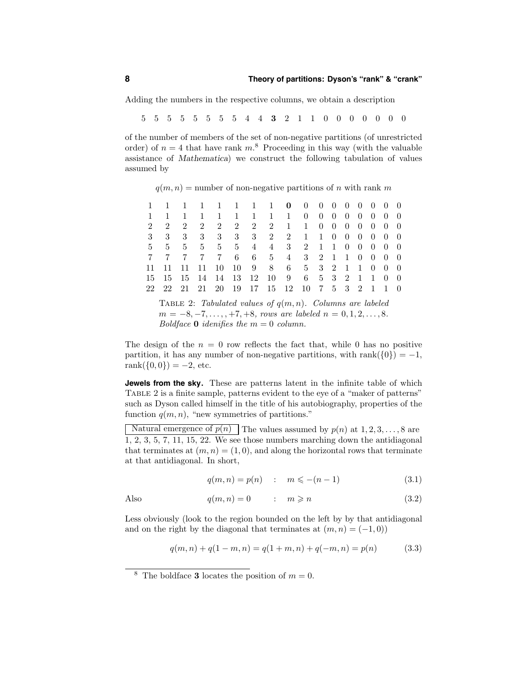Adding the numbers in the respective columns, we obtain a description

5 5 5 5 5 5 5 5 4 4 3 2 1 1 0 0 0 0 0 0 0

of the number of members of the set of non-negative partitions (of unrestricted order) of  $n = 4$  that have rank  $m<sup>8</sup>$ . Proceeding in this way (with the valuable assistance of Mathematica) we construct the following tabulation of values assumed by

 $q(m, n)$  = number of non-negative partitions of n with rank m

|  | 1 1 1 1 1 1 1 1 0 0 0 0 0 0 0 0 0           |  |  |  |  |  |  |  |
|--|---------------------------------------------|--|--|--|--|--|--|--|
|  | 1 1 1 1 1 1 1 1 1 0 0 0 0 0 0 0 0           |  |  |  |  |  |  |  |
|  | 2 2 2 2 2 2 2 2 1 1 0 0 0 0 0 0 0           |  |  |  |  |  |  |  |
|  | 3 3 3 3 3 3 3 3 2 2 1 1 0 0 0 0 0 0         |  |  |  |  |  |  |  |
|  | 5 5 5 5 5 5 4 4 3 2 1 1 0 0 0 0 0           |  |  |  |  |  |  |  |
|  | 7 7 7 7 7 6 6 5 4 3 2 1 1 0 0 0 0           |  |  |  |  |  |  |  |
|  | 11 11 11 11 10 10 9 8 6 5 3 2 1 1 0 0 0     |  |  |  |  |  |  |  |
|  | 15 15 15 14 14 13 12 10 9 6 5 3 2 1 1 0 0   |  |  |  |  |  |  |  |
|  | 22 22 21 21 20 19 17 15 12 10 7 5 3 2 1 1 0 |  |  |  |  |  |  |  |

TABLE 2: Tabulated values of  $q(m, n)$ . Columns are labeled  $m = -8, -7, \ldots, +7, +8, \text{rows are labeled } n = 0, 1, 2, \ldots, 8.$ Boldface **0** idenifies the  $m = 0$  column.

The design of the  $n = 0$  row reflects the fact that, while 0 has no positive partition, it has any number of non-negative partitions, with rank( $\{0\}$ ) = -1, rank $({0, 0}) = -2$ , etc.

**Jewels from the sky.** These are patterns latent in the infinite table of which Table 2 is a finite sample, patterns evident to the eye of a "maker of patterns" such as Dyson called himself in the title of his autobiography, properties of the function  $q(m, n)$ , "new symmetries of partitions."

Natural emergence of  $p(n)$  The values assumed by  $p(n)$  at  $1, 2, 3, ..., 8$  are 1, 2, 3, 5, 7, 11, 15, 22. We see those numbers marching down the antidiagonal that terminates at  $(m, n) = (1, 0)$ , and along the horizontal rows that terminate at that antidiagonal. In short,

$$
q(m, n) = p(n) : m \leqslant -(n - 1)
$$
\n(3.1)

Also 
$$
q(m,n) = 0
$$
 :  $m \ge n$  (3.2)

Less obviously (look to the region bounded on the left by by that antidiagonal and on the right by the diagonal that terminates at  $(m, n) = (-1, 0)$ 

$$
q(m,n) + q(1-m,n) = q(1+m,n) + q(-m,n) = p(n)
$$
\n(3.3)

<sup>&</sup>lt;sup>8</sup> The boldface **3** locates the position of  $m = 0$ .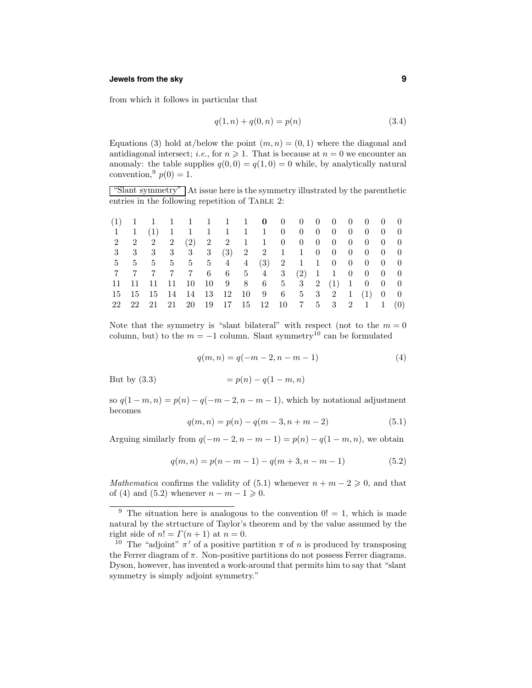# **Jewels from the sky 9**

from which it follows in particular that

$$
q(1, n) + q(0, n) = p(n)
$$
\n(3.4)

Equations (3) hold at/below the point  $(m, n) = (0, 1)$  where the diagonal and antidiagonal intersect; *i.e.*, for  $n \ge 1$ . That is because at  $n = 0$  we encounter an anomaly: the table supplies  $q(0, 0) = q(1, 0) = 0$  while, by analytically natural convention,  $p(0) = 1$ .

"Slant symmetry" At issue here is the symmetry illustrated by the parenthetic entries in the following repetition of TABLE 2:

|  |  |  |  |  |  |  | $(1)$ 1 1 1 1 1 1 1 0 0 0 0 0 0 0 0 0         |  |
|--|--|--|--|--|--|--|-----------------------------------------------|--|
|  |  |  |  |  |  |  | 1 1 (1) 1 1 1 1 1 1 0 0 0 0 0 0 0 0 0         |  |
|  |  |  |  |  |  |  | 2 2 2 2 2 2 2 2 1 1 0 0 0 0 0 0 0 0 0         |  |
|  |  |  |  |  |  |  |                                               |  |
|  |  |  |  |  |  |  | 5 5 5 5 5 5 4 4 (3) 2 1 1 0 0 0 0 0           |  |
|  |  |  |  |  |  |  | 7 7 7 7 7 6 6 5 4 3 (2) 1 1 0 0 0 0           |  |
|  |  |  |  |  |  |  | 11 11 11 11 10 10 9 8 6 5 3 2 (1) 1 0 0 0     |  |
|  |  |  |  |  |  |  | 15 15 15 14 14 13 12 10 9 6 5 3 2 1 (1) 0 0   |  |
|  |  |  |  |  |  |  | 22 22 21 21 20 19 17 15 12 10 7 5 3 2 1 1 (0) |  |

Note that the symmetry is "slant bilateral" with respect (not to the  $m = 0$ column, but) to the  $m = -1$  column. Slant symmetry<sup>10</sup> can be formulated

$$
q(m,n) = q(-m-2, n-m-1)
$$
 (4)

But by  $(3.3)$ 

$$
= p(n) - q(1 - m, n)
$$

so  $q(1 - m, n) = p(n) - q(-m - 2, n - m - 1)$ , which by notational adjustment becomes

$$
q(m,n) = p(n) - q(m-3, n+m-2)
$$
\n(5.1)

Arguing similarly from  $q(-m-2, n-m-1) = p(n) - q(1-m, n)$ , we obtain

$$
q(m,n) = p(n-m-1) - q(m+3, n-m-1)
$$
\n(5.2)

Mathematica confirms the validity of (5.1) whenever  $n + m - 2 \geq 0$ , and that of (4) and (5.2) whenever  $n - m - 1 \geq 0$ .

<sup>&</sup>lt;sup>9</sup> The situation here is analogous to the convention  $0! = 1$ , which is made natural by the strtucture of Taylor's theorem and by the value assumed by the right side of  $n! = \Gamma(n+1)$  at  $n = 0$ .

<sup>&</sup>lt;sup>10</sup> The "adjoint"  $\pi'$  of a positive partition  $\pi$  of n is produced by transposing the Ferrer diagram of  $\pi$ . Non-positive partitions do not possess Ferrer diagrams. Dyson, however, has invented a work-around that permits him to say that "slant symmetry is simply adjoint symmetry."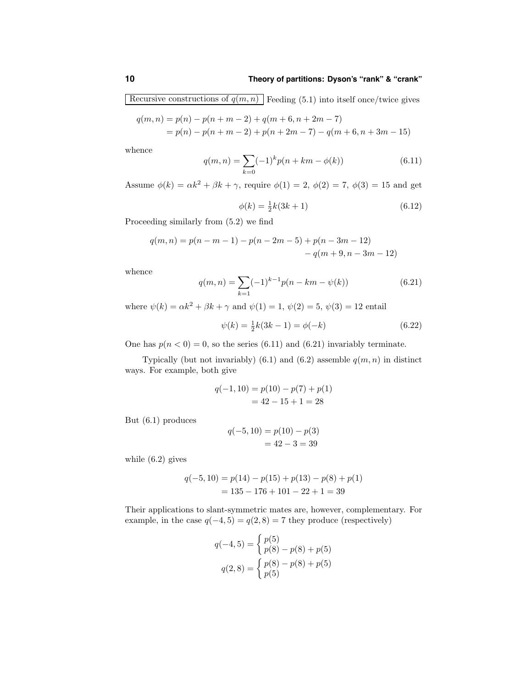Recursive constructions of  $q(m, n)$  Feeding (5.1) into itself once/twice gives

$$
q(m,n) = p(n) - p(n+m-2) + q(m+6, n+2m-7)
$$
  
=  $p(n) - p(n+m-2) + p(n+2m-7) - q(m+6, n+3m-15)$ 

whence

$$
q(m,n) = \sum_{k=0}^{\infty} (-1)^k p(n+km - \phi(k))
$$
\n(6.11)

Assume  $\phi(k) = \alpha k^2 + \beta k + \gamma$ , require  $\phi(1) = 2$ ,  $\phi(2) = 7$ ,  $\phi(3) = 15$  and get

$$
\phi(k) = \frac{1}{2}k(3k+1) \tag{6.12}
$$

Proceeding similarly from (5.2) we find

$$
q(m, n) = p(n - m - 1) - p(n - 2m - 5) + p(n - 3m - 12)
$$
  
-  $q(m + 9, n - 3m - 12)$ 

whence

$$
q(m,n) = \sum_{k=1}^{\infty} (-1)^{k-1} p(n-km - \psi(k))
$$
\n(6.21)

where  $\psi(k) = \alpha k^2 + \beta k + \gamma$  and  $\psi(1) = 1$ ,  $\psi(2) = 5$ ,  $\psi(3) = 12$  entail

$$
\psi(k) = \frac{1}{2}k(3k - 1) = \phi(-k)
$$
\n(6.22)

One has  $p(n < 0) = 0$ , so the series (6.11) and (6.21) invariably terminate.

Typically (but not invariably) (6.1) and (6.2) assemble  $q(m, n)$  in distinct ways. For example, both give

$$
q(-1, 10) = p(10) - p(7) + p(1)
$$
  
= 42 - 15 + 1 = 28

But (6.1) produces

$$
q(-5, 10) = p(10) - p(3)
$$
  
= 42 - 3 = 39

while (6.2) gives

$$
q(-5, 10) = p(14) - p(15) + p(13) - p(8) + p(1)
$$
  
= 135 - 176 + 101 - 22 + 1 = 39

Their applications to slant-symmetric mates are, however, complementary. For example, in the case  $q(-4, 5) = q(2, 8) = 7$  they produce (respectively)

$$
q(-4,5) = \begin{cases} p(5) \\ p(8) - p(8) + p(5) \end{cases}
$$

$$
q(2,8) = \begin{cases} p(8) - p(8) + p(5) \\ p(5) \end{cases}
$$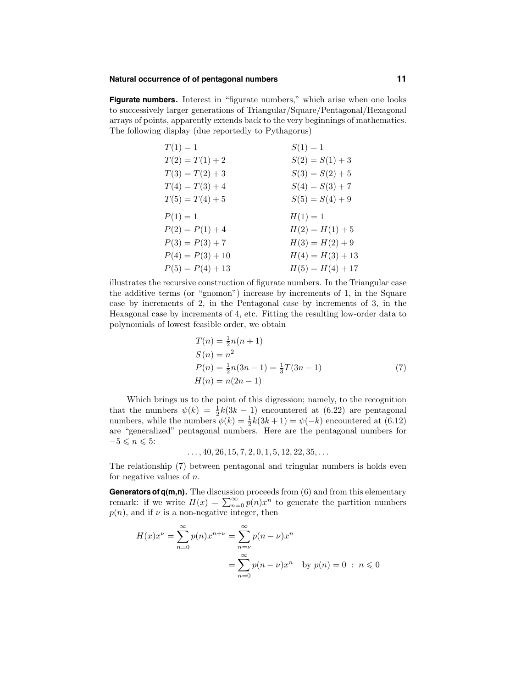#### **Natural occurrence of of pentagonal numbers 11**

**Figurate numbers.** Interest in "figurate numbers," which arise when one looks to successively larger generations of Triangular/Square/Pentagonal/Hexagonal arrays of points, apparently extends back to the very beginnings of mathematics. The following display (due reportedly to Pythagorus)

| $T(1) = 1$         | $S(1) = 1$         |
|--------------------|--------------------|
| $T(2) = T(1) + 2$  | $S(2) = S(1) + 3$  |
| $T(3) = T(2) + 3$  | $S(3) = S(2) + 5$  |
| $T(4) = T(3) + 4$  | $S(4) = S(3) + 7$  |
| $T(5) = T(4) + 5$  | $S(5) = S(4) + 9$  |
| $P(1) = 1$         | $H(1) = 1$         |
| $P(2) = P(1) + 4$  | $H(2) = H(1) + 5$  |
| $P(3) = P(3) + 7$  | $H(3) = H(2) + 9$  |
| $P(4) = P(3) + 10$ | $H(4) = H(3) + 13$ |
| $P(5) = P(4) + 13$ | $H(5) = H(4) + 17$ |

illustrates the recursive construction of figurate numbers. In the Triangular case the additive terms (or "gnomon") increase by increments of 1, in the Square case by increments of 2, in the Pentagonal case by increments of 3, in the Hexagonal case by increments of 4, etc. Fitting the resulting low-order data to polynomials of lowest feasible order, we obtain

$$
T(n) = \frac{1}{2}n(n+1)
$$
  
\n
$$
S(n) = n^2
$$
  
\n
$$
P(n) = \frac{1}{2}n(3n-1) = \frac{1}{3}T(3n-1)
$$
  
\n
$$
H(n) = n(2n-1)
$$
\n(7)

Which brings us to the point of this digression; namely, to the recognition that the numbers  $\psi(k) = \frac{1}{2}k(3k-1)$  encountered at (6.22) are pentagonal numbers, while the numbers  $\phi(k) = \frac{1}{2}k(3k+1) = \psi(-k)$  encountered at (6.12) are "generalized" pentagonal numbers. Here are the pentagonal numbers for  $-5 \leqslant n \leqslant 5$ :

 $\ldots$ , 40, 26, 15, 7, 2, 0, 1, 5, 12, 22, 35,  $\ldots$ 

The relationship (7) between pentagonal and tringular numbers is holds even for negative values of  $n$ .

**Generators of q(m,n).** The discussion proceeds from (6) and from this elementary remark: if we write  $H(x) = \sum_{n=0}^{\infty} p(n)x^n$  to generate the partition numbers  $p(n)$ , and if  $\nu$  is a non-negative integer, then

$$
H(x)x^{\nu} = \sum_{n=0}^{\infty} p(n)x^{n+\nu} = \sum_{n=\nu}^{\infty} p(n-\nu)x^n
$$

$$
= \sum_{n=0}^{\infty} p(n-\nu)x^n \text{ by } p(n) = 0 : n \le 0
$$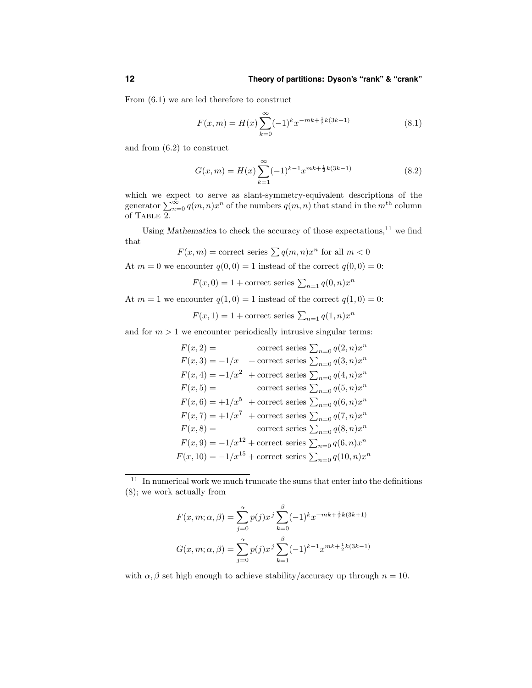From (6.1) we are led therefore to construct

$$
F(x,m) = H(x) \sum_{k=0}^{\infty} (-1)^k x^{-mk + \frac{1}{2}k(3k+1)}
$$
(8.1)

and from (6.2) to construct

$$
G(x,m) = H(x) \sum_{k=1}^{\infty} (-1)^{k-1} x^{mk + \frac{1}{2}k(3k-1)}
$$
(8.2)

which we expect to serve as slant-symmetry-equivalent descriptions of the generator  $\sum_{n=0}^{\infty} q(m,n)x^n$  of the numbers  $q(m,n)$  that stand in the  $m^{\text{th}}$  column of TABLE 2.

Using Mathematica to check the accuracy of those expectations,  $11$  we find that

$$
F(x, m) = \text{correct series} \sum q(m, n)x^n \text{ for all } m < 0
$$

At  $m = 0$  we encounter  $q(0, 0) = 1$  instead of the correct  $q(0, 0) = 0$ :

$$
F(x,0) = 1 + \text{correct series } \sum_{n=1} q(0,n)x^n
$$

At  $m = 1$  we encounter  $q(1, 0) = 1$  instead of the correct  $q(1, 0) = 0$ :

$$
F(x, 1) = 1 + \text{correct series } \sum_{n=1} q(1, n)x^n
$$

and for  $m > 1$  we encounter periodically intrusive singular terms:

 $F(x, 2) =$  correct series  $\sum_{n=0} q(2, n)x^n$  $F(x, 3) = -1/x$  + correct series  $\sum_{n=0} q(3, n)x^n$  $F(x, 4) = -1/x^2$  + correct series  $\sum_{n=0} q(4, n)x^n$  $F(x, 5) =$  correct series  $\sum_{n=0} q(5, n)x^n$  $F(x, 6) = +1/x^5$  + correct series  $\sum_{n=0} q(6, n)x^n$  $F(x, 7) = +1/x<sup>7</sup>$  + correct series  $\sum_{n=0} q(7, n)x<sup>n</sup>$  $F(x, 8) =$  correct series  $\sum_{n=0} q(8, n)x^n$  $F(x, 9) = -1/x^{12} + \text{correct series } \sum_{n=0} q(6, n)x^n$  $F(x, 10) = -1/x^{15} + \text{correct series } \sum_{n=0} q(10, n)x^n$ 

 $11$  In numerical work we much truncate the sums that enter into the definitions (8); we work actually from

$$
F(x, m; \alpha, \beta) = \sum_{j=0}^{\alpha} p(j)x^{j} \sum_{k=0}^{\beta} (-1)^{k} x^{-mk + \frac{1}{2}k(3k+1)}
$$

$$
G(x, m; \alpha, \beta) = \sum_{j=0}^{\alpha} p(j)x^{j} \sum_{k=1}^{\beta} (-1)^{k-1} x^{mk + \frac{1}{2}k(3k-1)}
$$

with  $\alpha, \beta$  set high enough to achieve stability/accuracy up through  $n = 10$ .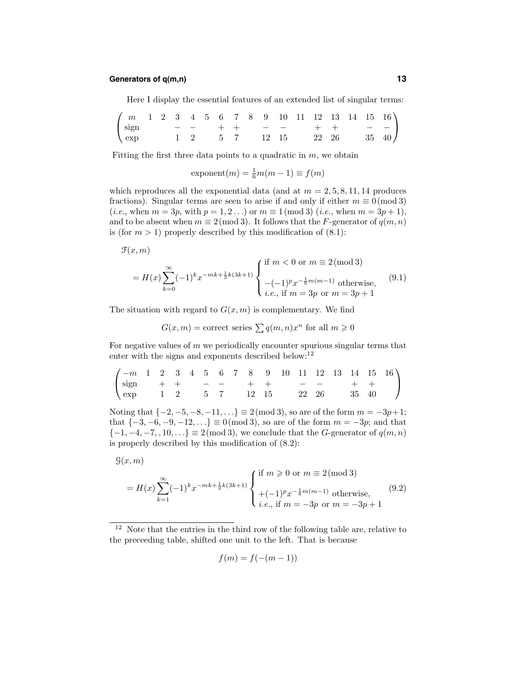# **Generators of q(m,n) 13**

Here I display the essential features of an extended list of singular terms:

| $\begin{pmatrix} m & 1 & 2 & 3 & 4 & 5 & 6 & 7 & 8 & 9 & 10 & 11 & 12 & 13 & 14 & 15 & 16 \end{pmatrix}$                          |  |  |  |  |  |  |  |  |
|-----------------------------------------------------------------------------------------------------------------------------------|--|--|--|--|--|--|--|--|
| $\begin{pmatrix} sign & - & - & + & + & - & - & + & + & - & - \\ exp & 1 & 2 & 5 & 7 & 12 & 15 & 22 & 26 & 35 & 40 \end{pmatrix}$ |  |  |  |  |  |  |  |  |
|                                                                                                                                   |  |  |  |  |  |  |  |  |

Fitting the first three data points to a quadratic in  $m$ , we obtain

$$
\text{exponent}(m) = \frac{1}{6}m(m-1) \equiv f(m)
$$

which reproduces all the exponential data (and at  $m = 2, 5, 8, 11, 14$  produces fractions). Singular terms are seen to arise if and only if either  $m \equiv 0 \pmod{3}$ (*i.e.*, when  $m = 3p$ , with  $p = 1, 2...$ ) or  $m \equiv 1 \pmod{3}$  (*i.e.*, when  $m = 3p + 1$ ), and to be absent when  $m \equiv 2 \pmod{3}$ . It follows that the F-generator of  $q(m, n)$ is (for  $m > 1$ ) properly described by this modification of (8.1):

$$
\mathfrak{F}(x,m)
$$

$$
= H(x) \sum_{k=0}^{\infty} (-1)^k x^{-mk + \frac{1}{2}k(3k+1)} \begin{cases} \text{if } m < 0 \text{ or } m \equiv 2 \pmod{3} \\ -(-1)^p x^{-\frac{1}{6}m(m-1)} \text{ otherwise,} \\ i.e., \text{if } m = 3p \text{ or } m = 3p+1 \end{cases}
$$
(9.1)

The situation with regard to  $G(x, m)$  is complementary. We find

$$
G(x, m) = \text{correct series} \sum q(m, n)x^n \text{ for all } m \geqslant 0
$$

For negative values of  $m$  we periodically encounter spurious singular terms that enter with the signs and exponents described below:<sup>12</sup>

$$
\begin{pmatrix} -m & 1 & 2 & 3 & 4 & 5 & 6 & 7 & 8 & 9 & 10 & 11 & 12 & 13 & 14 & 15 & 16 \\ \mathop{\rm sign} & + & + & - & - & + & + & - & - & + & + \\ \mathop{\rm exp} & 1 & 2 & 5 & 7 & 12 & 15 & 22 & 26 & 35 & 40 \end{pmatrix}
$$

Noting that  $\{-2, -5, -8, -11, ...\} \equiv 2 \pmod{3}$ , so are of the form  $m = -3p+1$ ; that  $\{-3, -6, -9, -12, ...\} \equiv 0 \pmod{3}$ , so are of the form  $m = -3p$ ; and that  ${-1, -4, -7, 10, \ldots} \equiv 2 \pmod{3}$ , we conclude that the G-generator of  $q(m, n)$ is properly described by this modification of (8.2):

$$
\mathcal{G}(x,m)
$$

$$
=H(x)\sum_{k=1}^{\infty}(-1)^k x^{-mk+\frac{1}{2}k(3k+1)}\begin{cases} \text{if } m \geqslant 0 \text{ or } m \equiv 2 \pmod{3} \\ +(-1)^p x^{-\frac{1}{6}m(m-1)} \text{ otherwise,} \\ \text{i.e., if } m = -3p \text{ or } m = -3p+1 \end{cases}
$$
(9.2)

$$
f(m) = f(-(m-1))
$$

<sup>&</sup>lt;sup>12</sup> Note that the entries in the third row of the following table are, relative to the preceeding table, shifted one unit to the left. That is because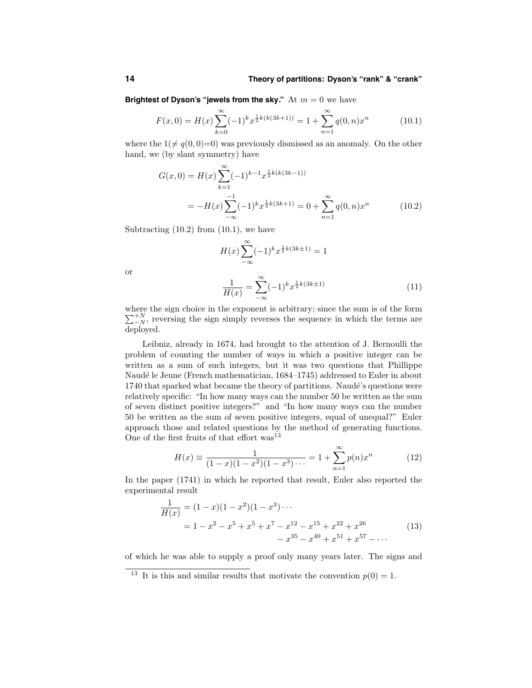#### **14 Theory of partitions: Dyson's "rank" & "crank"**

**Brightest of Dyson's "jewels from the sky."** At  $m = 0$  we have

$$
F(x,0) = H(x) \sum_{k=0}^{\infty} (-1)^k x^{\frac{1}{2}k(k(3k+1))} = 1 + \sum_{n=1}^{\infty} q(0,n) x^n
$$
 (10.1)

where the  $1 \neq q(0, 0)=0$ ) was previously dismissed as an anomaly. On the other hand, we (by slant symmetry) have

$$
G(x,0) = H(x) \sum_{k=1}^{\infty} (-1)^{k-1} x^{\frac{1}{2}k(k(3k-1))}
$$
  
= 
$$
-H(x) \sum_{-\infty}^{-1} (-1)^k x^{\frac{1}{2}k(3k+1)} = 0 + \sum_{n=1}^{\infty} q(0,n) x^n
$$
(10.2)

Subtracting  $(10.2)$  from  $(10.1)$ , we have

$$
H(x)\sum_{-\infty}^{\infty}(-1)^k x^{\frac{1}{2}k(3k\pm 1)} = 1
$$
  

$$
1 - \sum_{k=1}^{\infty}(-1)^k x^{\frac{1}{2}k(3k\pm 1)} \qquad (1)
$$

or

$$
\frac{1}{H(x)} = \sum_{-\infty}^{\infty} (-1)^k x^{\frac{1}{2}k(3k \pm 1)} \tag{11}
$$

where the sign choice in the exponent is arbitrary; since the sum is of the form  $\sum_{i=N}^{+N}$ , reversing the sign simply reverses the sequence in which the terms are deployed.

Leibniz, already in 1674, had brought to the attention of J. Bernoulli the problem of counting the number of ways in which a positive integer can be written as a sum of such integers, but it was two questions that Phillippe Naudé le Jeune (French mathematician, 1684–1745) addressed to Euler in about 1740 that sparked what became the theory of partitions. Naudé's questions were relatively specific: "In how many ways can the number 50 be written as the sum of seven distinct positive integers?" and "In how many ways can the number 50 be written as the sum of seven positive integers, equal of unequal?" Euler approach those and related questions by the method of generating functions. One of the first fruits of that effort  $\text{was}^{13}$ 

$$
H(x) \equiv \frac{1}{(1-x)(1-x^2)(1-x^3)\cdots} = 1 + \sum_{n=1}^{\infty} p(n)x^n
$$
 (12)

In the paper (1741) in which he reported that result, Euler also reported the experimental result

$$
\frac{1}{H(x)} = (1-x)(1-x^2)(1-x^3)\cdots
$$
  
=  $1-x^2-x^5+x^5+x^7-x^{12}-x^{15}+x^{22}+x^{26}$  (13)  
 $-x^{35}-x^{40}+x^{51}+x^{57}-\cdots$ 

of which he was able to supply a proof only many years later. The signs and

<sup>&</sup>lt;sup>13</sup> It is this and similar results that motivate the convention  $p(0) = 1$ .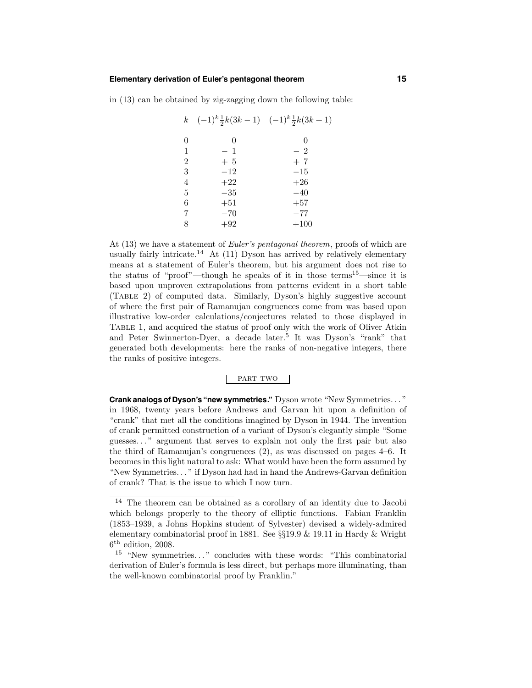# **Elementary derivation of Euler's pentagonal theorem 15**

in (13) can be obtained by zig-zagging down the following table:

|                | k $(-1)^k \frac{1}{2}k(3k-1)$ $(-1)^k \frac{1}{2}k(3k+1)$ |        |
|----------------|-----------------------------------------------------------|--------|
| $\overline{0}$ | 0                                                         | 0      |
| 1              | $-1$                                                      | $-2$   |
| $\overline{2}$ | $+5$                                                      | $+7$   |
| 3              | $-12$                                                     | $-15$  |
| $\overline{4}$ | $+22$                                                     | $+26$  |
| $\overline{5}$ | $-35$                                                     | $-40$  |
| 6              | $+51$                                                     | $+57$  |
| $\overline{7}$ | $-70$                                                     | $-77$  |
| 8              | $+92$                                                     | $+100$ |
|                |                                                           |        |

At (13) we have a statement of *Euler's pentagonal theorem*, proofs of which are usually fairly intricate.<sup>14</sup> At (11) Dyson has arrived by relatively elementary means at a statement of Euler's theorem, but his argument does not rise to the status of "proof"—though he speaks of it in those terms<sup>15</sup>—since it is based upon unproven extrapolations from patterns evident in a short table (Table 2) of computed data. Similarly, Dyson's highly suggestive account of where the first pair of Ramanujan congruences come from was based upon illustrative low-order calculations/conjectures related to those displayed in Table 1, and acquired the status of proof only with the work of Oliver Atkin and Peter Swinnerton-Dyer, a decade later.<sup>5</sup> It was Dyson's "rank" that generated both developments: here the ranks of non-negative integers, there the ranks of positive integers.

#### PART TWO

**Crank analogs of Dyson's "new symmetries."** Dyson wrote "New Symmetries. . . " in 1968, twenty years before Andrews and Garvan hit upon a definition of "crank" that met all the conditions imagined by Dyson in 1944. The invention of crank permitted construction of a variant of Dyson's elegantly simple "Some guesses. . . " argument that serves to explain not only the first pair but also the third of Ramanujan's congruences (2), as was discussed on pages 4–6. It becomes in this light natural to ask: What would have been the form assumed by "New Symmetries. . . " if Dyson had had in hand the Andrews-Garvan definition of crank? That is the issue to which I now turn.

<sup>14</sup> The theorem can be obtained as a corollary of an identity due to Jacobi which belongs properly to the theory of elliptic functions. Fabian Franklin (1853–1939, a Johns Hopkins student of Sylvester) devised a widely-admired elementary combinatorial proof in 1881. See §§19.9 & 19.11 in Hardy & Wright  $6<sup>th</sup>$  edition, 2008.

<sup>&</sup>lt;sup>15</sup> "New symmetries..." concludes with these words: "This combinatorial derivation of Euler's formula is less direct, but perhaps more illuminating, than the well-known combinatorial proof by Franklin."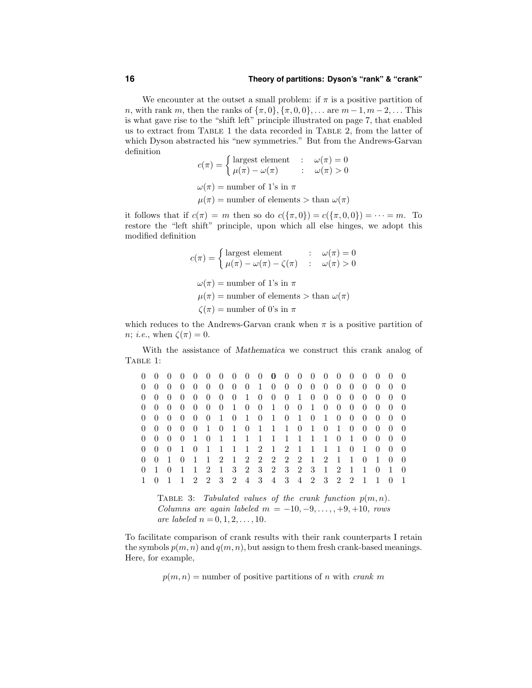# **16 Theory of partitions: Dyson's "rank" & "crank"**

We encounter at the outset a small problem: if  $\pi$  is a positive partition of *n*, with rank *m*, then the ranks of  $\{\pi, 0\}$ ,  $\{\pi, 0, 0\}$ , ... are  $m - 1$ ,  $m - 2$ , ... This is what gave rise to the "shift left" principle illustrated on page 7, that enabled us to extract from Table 1 the data recorded in Table 2, from the latter of which Dyson abstracted his "new symmetries." But from the Andrews-Garvan definition

$$
c(\pi) = \begin{cases} \text{largest element} & : \omega(\pi) = 0 \\ \mu(\pi) - \omega(\pi) & : \omega(\pi) > 0 \end{cases}
$$
  

$$
\omega(\pi) = \text{number of 1's in } \pi
$$
  

$$
\mu(\pi) = \text{number of elements} > \text{than } \omega(\pi)
$$

it follows that if  $c(\pi) = m$  then so do  $c({\pi, 0}) = c({\pi, 0, 0}) = \cdots = m$ . To restore the "left shift" principle, upon which all else hinges, we adopt this modified definition

$$
c(\pi) = \begin{cases} \text{largest element} & : \omega(\pi) = 0\\ \mu(\pi) - \omega(\pi) - \zeta(\pi) & : \omega(\pi) > 0 \end{cases}
$$
  

$$
\omega(\pi) = \text{number of 1's in } \pi
$$
  

$$
\mu(\pi) = \text{number of elements} > \text{than } \omega(\pi)
$$
  

$$
\zeta(\pi) = \text{number of 0's in } \pi
$$

which reduces to the Andrews-Garvan crank when  $\pi$  is a positive partition of *n*; *i.e.*, when  $\zeta(\pi) = 0$ .

With the assistance of Mathematica we construct this crank analog of Table 1:

| $\theta$       | $\overline{0}$   | $\theta$           | $\hspace{0.6cm}0$  |                   |  |  | 0 0 0 0 0 0 0 0 0 0 0 0 0         |     |  |             |       | $\overline{0}$ | $\overline{0}$                        | $\overline{0}$ | $\overline{0}$ |
|----------------|------------------|--------------------|--------------------|-------------------|--|--|-----------------------------------|-----|--|-------------|-------|----------------|---------------------------------------|----------------|----------------|
| $\overline{0}$ |                  |                    |                    |                   |  |  | 0 0 0 0 0 0 0 0 1 0 0 0 0 0 0 0   |     |  |             |       | $\overline{0}$ | $\overline{0}$                        | $\theta$       | $\overline{0}$ |
| $\overline{0}$ | $\left( \right)$ | $\overline{0}$     | $\overline{0}$     | $0\quad 0\quad 0$ |  |  | 0 1 0 0 0 1 0 0 0 0               |     |  |             |       | $\overline{0}$ | $\theta$                              | $\overline{0}$ | $\overline{0}$ |
| $\overline{0}$ |                  |                    |                    |                   |  |  |                                   |     |  |             |       |                | 0 0 0 0 0 0 1 0 0 1 0 0 1 0 0 0 0 0 0 |                | $\overline{0}$ |
| $\overline{0}$ |                  |                    |                    |                   |  |  |                                   |     |  |             |       |                |                                       |                |                |
| $\overline{0}$ | $0\quad 0$       |                    | $\overline{0}$     | 0 1 0 1 0         |  |  | 1 1 1 0 1 0                       |     |  |             | 1 0 0 |                | $\overline{0}$                        | $\theta$       | $\overline{0}$ |
| $\overline{0}$ | $\overline{0}$   | $\hspace{0.1em} 0$ |                    |                   |  |  | 0 1 0 1 1 1 1 1 1 1 1 1 0 1 0     |     |  |             |       |                | $\hspace{0.1em} 0$                    | $\overline{0}$ | $\theta$       |
| $\Omega$       |                  |                    |                    |                   |  |  | 0 0 1 0 1 1 1 1 2 1 2 1 1 1 1 0 1 |     |  |             |       |                | $\overline{0}$                        | $\theta$       | $\theta$       |
| $\overline{0}$ | $\overline{0}$   | $\overline{1}$     | $\hspace{0.1em} 0$ |                   |  |  | 1 1 2 1 2 2 2 2 2 1 2 1 1         |     |  |             |       | $\theta$       | $\overline{1}$                        | -0             | $\overline{0}$ |
| $\overline{0}$ | 1 0              |                    | $\overline{1}$     |                   |  |  | 1 2 1 3 2 3 2 3 2 3 1 2 1 1       |     |  |             |       |                | $\Box$ 0                              | $\overline{1}$ | $\theta$       |
|                | $\theta$         |                    |                    | 1 2 2 3 2 4 3     |  |  |                                   | 4 3 |  | 4 2 3 2 2 1 |       |                | $\overline{1}$                        |                | $\overline{1}$ |
|                |                  |                    |                    |                   |  |  |                                   |     |  |             |       |                |                                       |                |                |

TABLE 3: Tabulated values of the crank function  $p(m, n)$ . Columns are again labeled  $m = -10, -9, \ldots, +9, +10,$  rows are labeled  $n = 0, 1, 2, ..., 10$ .

To facilitate comparison of crank results with their rank counterparts I retain the symbols  $p(m, n)$  and  $q(m, n)$ , but assign to them fresh crank-based meanings. Here, for example,

 $p(m, n)$  = number of positive partitions of n with crank m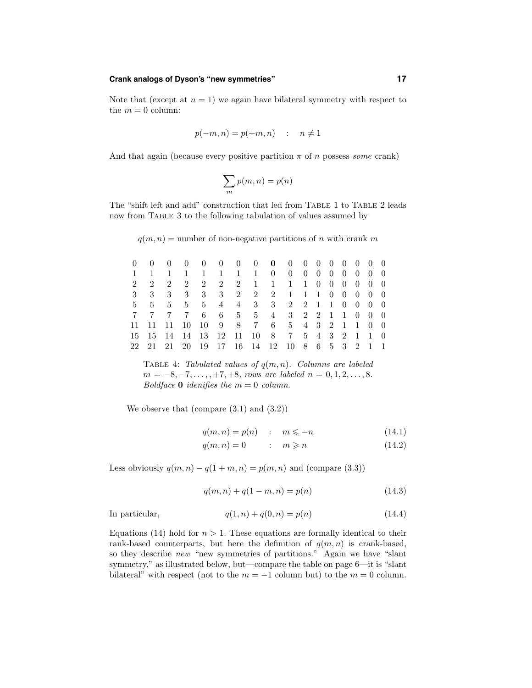## **Crank analogs of Dyson's "new symmetries" 17**

Note that (except at  $n = 1$ ) we again have bilateral symmetry with respect to the  $m = 0$  column:

$$
p(-m, n) = p(+m, n) \quad : \quad n \neq 1
$$

And that again (because every positive partition  $\pi$  of n possess some crank)

$$
\sum_m p(m,n) = p(n)
$$

The "shift left and add" construction that led from TABLE 1 to TABLE 2 leads now from Table 3 to the following tabulation of values assumed by

 $q(m, n)$  = number of non-negative partitions of n with crank m

|  | 0 0 0 0 0 0 0 0 0 0 0 0 0 0 0 0 0                                                          |  |  |  |  |  |  |  |
|--|--------------------------------------------------------------------------------------------|--|--|--|--|--|--|--|
|  | 1 1 1 1 1 1 1 1 0 0 0 0 0 0 0 0 0                                                          |  |  |  |  |  |  |  |
|  | 2 2 2 2 2 2 2 1 1 1 1 0 0 0 0 0 0                                                          |  |  |  |  |  |  |  |
|  | 3 3 3 3 3 3 3 2 2 2 1 1 1 0 0 0 0 0                                                        |  |  |  |  |  |  |  |
|  | 5 5 5 5 5 4 4 3 3 2 2 1 1 0 0 0 0                                                          |  |  |  |  |  |  |  |
|  | 7 7 7 7 6 6 5 5 4 3 2 2 1 1 0 0 0                                                          |  |  |  |  |  |  |  |
|  | 11 11 11 10 10 9 8 7 6 5 4 3 2 1 1 0 0                                                     |  |  |  |  |  |  |  |
|  | 15    15    14    14    13    12    11    10    8    7    5    4    3    2    1    10    0 |  |  |  |  |  |  |  |
|  | 22 21 21 20 19 17 16 14 12 10 8 6 5 3 2 1 1                                                |  |  |  |  |  |  |  |

TABLE 4: Tabulated values of  $q(m, n)$ . Columns are labeled  $m = -8, -7, \ldots, +7, +8, \text{rows are labeled } n = 0, 1, 2, \ldots, 8.$ Boldface **0** idenifies the  $m = 0$  column.

We observe that (compare  $(3.1)$  and  $(3.2)$ )

$$
q(m,n) = p(n) \quad : \quad m \leq -n \tag{14.1}
$$

$$
q(m,n) = 0 \qquad : \quad m \geqslant n \tag{14.2}
$$

Less obviously  $q(m, n) - q(1 + m, n) = p(m, n)$  and (compare (3.3))

$$
q(m,n) + q(1-m,n) = p(n)
$$
\n(14.3)

In particular,

$$
q(1, n) + q(0, n) = p(n)
$$
\n(14.4)

Equations (14) hold for  $n > 1$ . These equations are formally identical to their rank-based counterparts, but here the definition of  $q(m, n)$  is crank-based, so they describe new "new symmetries of partitions." Again we have "slant symmetry," as illustrated below, but—compare the table on page 6—it is "slant bilateral" with respect (not to the  $m = -1$  column but) to the  $m = 0$  column.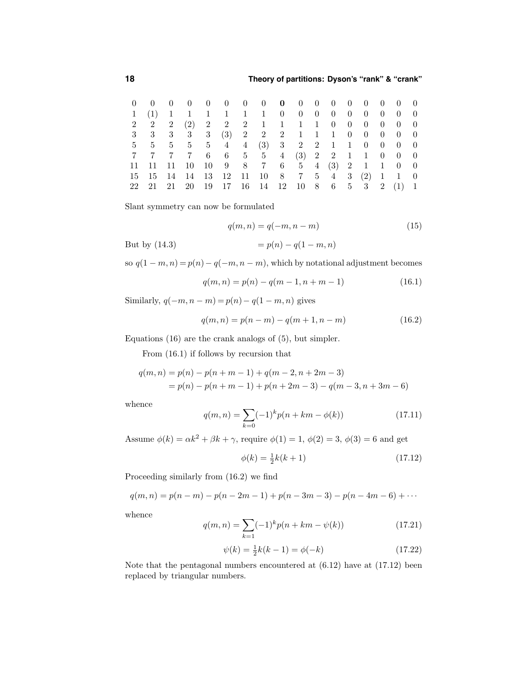| 0 0 0 0 0 0 0 0 0 0 0 0 0 0 0 0 0             |  |  |  |  |  |  |  |  |
|-----------------------------------------------|--|--|--|--|--|--|--|--|
| 1 (1) 1 1 1 1 1 1 0 0 0 0 0 0 0 0 0           |  |  |  |  |  |  |  |  |
| 2 2 2 2 2 2 2 2 1 1 1 1 0 0 0 0 0 0 0         |  |  |  |  |  |  |  |  |
| 3 3 3 3 3 3 3 3 3 4 3 2 2 2 1 1 1 0 0 0 0 0 0 |  |  |  |  |  |  |  |  |
| 5 5 5 5 5 4 4 (3) 3 2 2 1 1 0 0 0 0           |  |  |  |  |  |  |  |  |
| 7 7 7 7 6 6 5 5 4 (3) 2 2 1 1 0 0 0           |  |  |  |  |  |  |  |  |
| 11 11 11 10 10 9 8 7 6 5 4 (3) 2 1 1 0 0      |  |  |  |  |  |  |  |  |
| 15 15 14 14 13 12 11 10 8 7 5 4 3 (2) 1 1 0   |  |  |  |  |  |  |  |  |
| 22 21 21 20 19 17 16 14 12 10 8 6 5 3 2 (1) 1 |  |  |  |  |  |  |  |  |

Slant symmetry can now be formulated

$$
q(m,n) = q(-m,n-m)
$$
\n<sup>(15)</sup>

But by (14.3)  $= p(n) - q(1 - m, n)$ 

so  $q(1 - m, n) = p(n) - q(-m, n - m)$ , which by notational adjustment becomes

$$
q(m,n) = p(n) - q(m-1, n+m-1)
$$
\n(16.1)

Similarly,  $q(-m, n-m) = p(n) - q(1 - m, n)$  gives

$$
q(m,n) = p(n-m) - q(m+1, n-m)
$$
\n(16.2)

Equations (16) are the crank analogs of (5), but simpler.

From (16.1) if follows by recursion that

$$
q(m,n) = p(n) - p(n+m-1) + q(m-2, n+2m-3)
$$
  
=  $p(n) - p(n+m-1) + p(n+2m-3) - q(m-3, n+3m-6)$ 

whence

$$
q(m,n) = \sum_{k=0}^{\infty} (-1)^k p(n+km - \phi(k))
$$
\n(17.11)

Assume  $\phi(k) = \alpha k^2 + \beta k + \gamma$ , require  $\phi(1) = 1$ ,  $\phi(2) = 3$ ,  $\phi(3) = 6$  and get

$$
\phi(k) = \frac{1}{2}k(k+1) \tag{17.12}
$$

Proceeding similarly from (16.2) we find

$$
q(m, n) = p(n - m) - p(n - 2m - 1) + p(n - 3m - 3) - p(n - 4m - 6) + \cdots
$$

whence

$$
q(m,n) = \sum_{k=1}^{\infty} (-1)^k p(n+km - \psi(k))
$$
\n(17.21)

$$
\psi(k) = \frac{1}{2}k(k-1) = \phi(-k)
$$
\n(17.22)

Note that the pentagonal numbers encountered at (6.12) have at (17.12) been replaced by triangular numbers.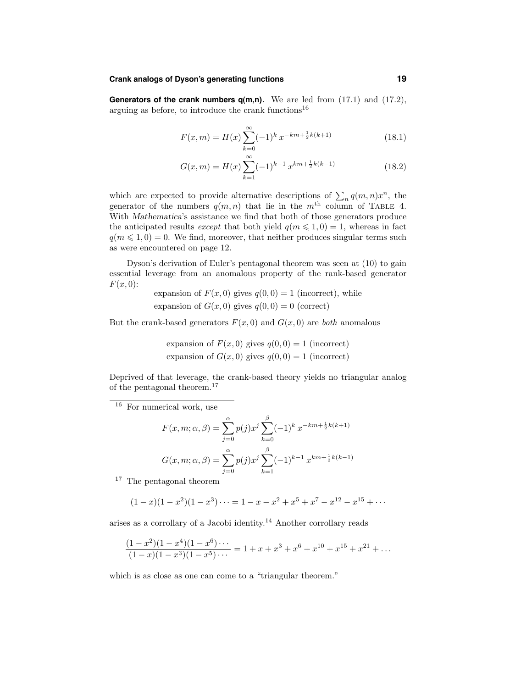# **Crank analogs of Dyson's generating functions 19**

**Generators of the crank numbers q(m,n).** We are led from (17.1) and (17.2), arguing as before, to introduce the crank functions<sup>16</sup>

$$
F(x,m) = H(x) \sum_{k=0}^{\infty} (-1)^k x^{-km + \frac{1}{2}k(k+1)}
$$
 (18.1)

$$
G(x,m) = H(x) \sum_{k=1}^{\infty} (-1)^{k-1} x^{km + \frac{1}{2}k(k-1)}
$$
 (18.2)

which are expected to provide alternative descriptions of  $\sum_n q(m,n)x^n$ , the generator of the numbers  $q(m, n)$  that lie in the  $m<sup>th</sup>$  column of TABLE 4. With Mathematica's assistance we find that both of those generators produce the anticipated results except that both yield  $q(m \leq 1, 0) = 1$ , whereas in fact  $q(m \leq 1, 0) = 0$ . We find, moreover, that neither produces singular terms such as were encountered on page 12.

Dyson's derivation of Euler's pentagonal theorem was seen at (10) to gain essential leverage from an anomalous property of the rank-based generator  $F(x, 0)$ :

expansion of  $F(x, 0)$  gives  $q(0, 0) = 1$  (incorrect), while expansion of  $G(x, 0)$  gives  $q(0, 0) = 0$  (correct)

But the crank-based generators  $F(x, 0)$  and  $G(x, 0)$  are *both* anomalous

expansion of 
$$
F(x, 0)
$$
 gives  $q(0, 0) = 1$  (incorrect)  
expansion of  $G(x, 0)$  gives  $q(0, 0) = 1$  (incorrect)

Deprived of that leverage, the crank-based theory yields no triangular analog of the pentagonal theorem.<sup>17</sup>

<sup>16</sup> For numerical work, use

$$
F(x, m; \alpha, \beta) = \sum_{j=0}^{\alpha} p(j)x^j \sum_{k=0}^{\beta} (-1)^k x^{-km + \frac{1}{2}k(k+1)}
$$

$$
G(x, m; \alpha, \beta) = \sum_{j=0}^{\alpha} p(j)x^j \sum_{k=1}^{\beta} (-1)^{k-1} x^{km + \frac{1}{2}k(k-1)}
$$

<sup>17</sup> The pentagonal theorem

$$
(1-x)(1-x2)(1-x3)\cdots = 1-x-x2+x5+x7-x12-x15+\cdots
$$

arises as a corrollary of a Jacobi identity. <sup>14</sup> Another corrollary reads

$$
\frac{(1-x^2)(1-x^4)(1-x^6)\cdots}{(1-x)(1-x^3)(1-x^5)\cdots} = 1 + x + x^3 + x^6 + x^{10} + x^{15} + x^{21} + \dots
$$

which is as close as one can come to a "triangular theorem."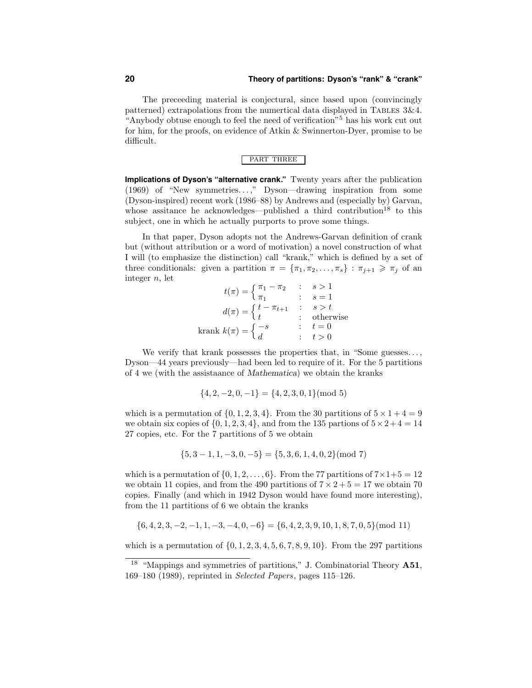#### **20 Theory of partitions: Dyson's "rank" & "crank"**

The preceeding material is conjectural, since based upon (convincingly patterned) extrapolations from the numertical data displayed in TABLES  $3\&4$ . "Anybody obtuse enough to feel the need of verification"<sup>5</sup> has his work cut out for him, for the proofs, on evidence of Atkin & Swinnerton-Dyer, promise to be difficult.

#### PART THREE

**Implications of Dyson's "alternative crank."** Twenty years after the publication (1969) of "New symmetries. . . ," Dyson—drawing inspiration from some (Dyson-inspired) recent work (1986–88) by Andrews and (especially by) Garvan, whose assitance he acknowledges—published a third contribution<sup>18</sup> to this subject, one in which he actually purports to prove some things.

In that paper, Dyson adopts not the Andrews-Garvan definition of crank but (without attribution or a word of motivation) a novel construction of what I will (to emphasize the distinction) call "krank," which is defined by a set of three conditionals: given a partition  $\pi = {\pi_1, \pi_2, ..., \pi_s} : \pi_{j+1} \geq \pi_j$  of an integer  $n$ , let

$$
t(\pi) = \begin{cases} \pi_1 - \pi_2 & \text{: } s > 1 \\ \pi_1 & \text{: } s = 1 \end{cases}
$$
\n
$$
d(\pi) = \begin{cases} t - \pi_{t+1} & \text{: } s > t \\ t & \text{: } \text{otherwise} \end{cases}
$$
\n
$$
\text{krank } k(\pi) = \begin{cases} -s & \text{: } t = 0 \\ d & \text{: } t > 0 \end{cases}
$$

We verify that krank possesses the properties that, in "Some guesses..., Dyson—44 years previously—had been led to require of it. For the 5 partitions of 4 we (with the assistaance of Mathematica) we obtain the kranks

$$
\{4, 2, -2, 0, -1\} = \{4, 2, 3, 0, 1\} \pmod{5}
$$

which is a permutation of  $\{0, 1, 2, 3, 4\}$ . From the 30 partitions of  $5 \times 1 + 4 = 9$ we obtain six copies of  $\{0, 1, 2, 3, 4\}$ , and from the 135 partions of  $5 \times 2 + 4 = 14$ 27 copies, etc. For the 7 partitions of 5 we obtain

$$
\{5,3-1,1,-3,0,-5\}=\{5,3,6,1,4,0,2\} (\bmod~7)
$$

which is a permutation of  $\{0, 1, 2, \ldots, 6\}$ . From the 77 partitions of  $7 \times 1 + 5 = 12$ we obtain 11 copies, and from the 490 partitions of  $7 \times 2 + 5 = 17$  we obtain 70 copies. Finally (and which in 1942 Dyson would have found more interesting), from the 11 partitions of 6 we obtain the kranks

$$
\{6, 4, 2, 3, -2, -1, 1, -3, -4, 0, -6\} = \{6, 4, 2, 3, 9, 10, 1, 8, 7, 0, 5\} \pmod{11}
$$

which is a permutation of  $\{0, 1, 2, 3, 4, 5, 6, 7, 8, 9, 10\}$ . From the 297 partitions

<sup>&</sup>lt;sup>18</sup> "Mappings and symmetries of partitions," J. Combinatorial Theory A51, 169–180 (1989), reprinted in Selected Papers, pages 115–126.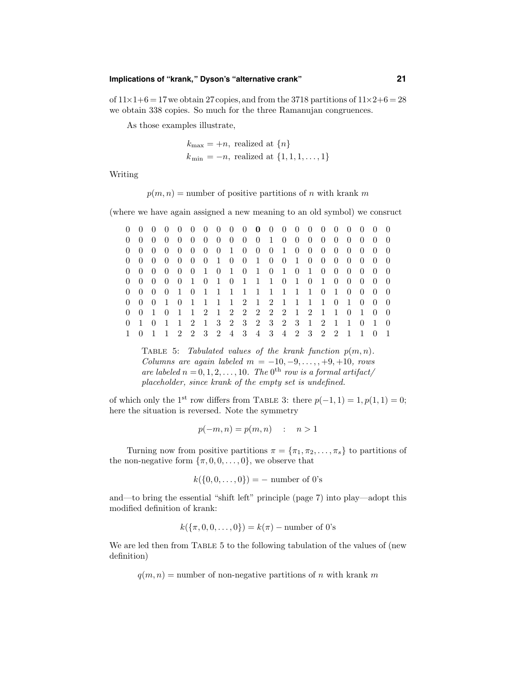## **Implications of "krank," Dyson's "alternative crank" 21**

of  $11\times1+6=17$  we obtain 27 copies, and from the 3718 partitions of  $11\times2+6=28$ we obtain 338 copies. So much for the three Ramanujan congruences.

As those examples illustrate,

$$
k_{\text{max}} = +n, \text{ realized at } \{n\}
$$
  

$$
k_{\text{min}} = -n, \text{ realized at } \{1, 1, 1, \dots, 1\}
$$

Writing

$$
p(m, n)
$$
 = number of positive partitions of *n* with krank *m*

(where we have again assigned a new meaning to an old symbol) we consruct

|  |  |  |  |  | 0 0 0 0 0 0 0 0 0 0 0 0 0 0 0 0 0 0 0                |  |  |  |  |                                     |  |
|--|--|--|--|--|------------------------------------------------------|--|--|--|--|-------------------------------------|--|
|  |  |  |  |  | 0 0 0 0 0 0 0 0 0 0 0 1 0 0 0 0 0 0 0                |  |  |  |  | $0 \quad 0$                         |  |
|  |  |  |  |  |                                                      |  |  |  |  |                                     |  |
|  |  |  |  |  |                                                      |  |  |  |  |                                     |  |
|  |  |  |  |  |                                                      |  |  |  |  |                                     |  |
|  |  |  |  |  |                                                      |  |  |  |  |                                     |  |
|  |  |  |  |  | 0 0 0 0 1 0 1 1 1 1 1 1 1 1 1 0 1 0 0 0 0            |  |  |  |  |                                     |  |
|  |  |  |  |  | 0 0 0 1 0 1 1 1 1 2 1 2 1 1 1 1 0 1 0 0 0            |  |  |  |  |                                     |  |
|  |  |  |  |  | 0  0  1  0  1  1  2  1  2  2  2  2  2  1  2  1  0  1 |  |  |  |  | $\begin{matrix} 0 & 0 \end{matrix}$ |  |
|  |  |  |  |  | 0 1 0 1 1 2 1 3 2 3 2 3 2 3 1 2 1 1 0                |  |  |  |  |                                     |  |
|  |  |  |  |  | 1 1 2 2 3 2 4 3 4 3 4 2 3 2 2 1 1 0                  |  |  |  |  |                                     |  |

TABLE 5: Tabulated values of the krank function  $p(m, n)$ . Columns are again labeled  $m = -10, -9, \ldots, +9, +10,$  rows are labeled  $n = 0, 1, 2, \ldots, 10$ . The  $0<sup>th</sup>$  row is a formal artifact/ placeholder, since krank of the empty set is undefined.

of which only the 1<sup>st</sup> row differs from TABLE 3: there  $p(-1, 1) = 1, p(1, 1) = 0$ ; here the situation is reversed. Note the symmetry

 $p(-m, n) = p(m, n)$  :  $n > 1$ 

Turning now from positive partitions  $\pi = {\pi_1, \pi_2, ..., \pi_s}$  to partitions of the non-negative form  $\{\pi, 0, 0, \ldots, 0\}$ , we observe that

$$
k({0, 0, ..., 0}) = -
$$
 number of 0's

and—to bring the essential "shift left" principle (page 7) into play—adopt this modified definition of krank:

$$
k(\{\pi, 0, 0, \ldots, 0\}) = k(\pi) -
$$
number of 0's

We are led then from TABLE 5 to the following tabulation of the values of (new definition)

 $q(m, n)$  = number of non-negative partitions of n with krank m